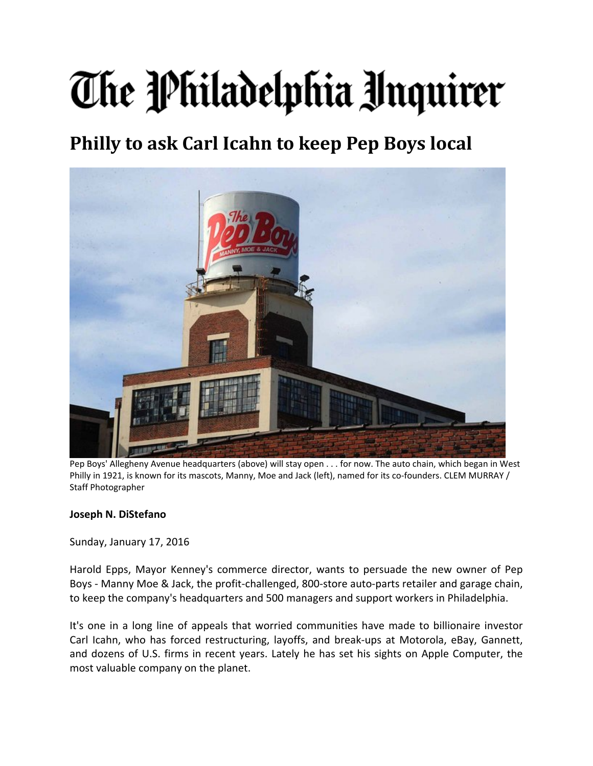## The Philadelphia Unquirer

## **Philly to ask Carl Icahn to keep Pep Boys local**



Pep Boys' Allegheny Avenue headquarters (above) will stay open . . . for now. The auto chain, which began in West Philly in 1921, is known for its mascots, Manny, Moe and Jack (left), named for its co-founders. CLEM MURRAY / Staff Photographer

## **Joseph N. DiStefano**

Sunday, January 17, 2016

Harold Epps, Mayor Kenney's commerce director, wants to persuade the new owner of Pep Boys - Manny Moe & Jack, the profit-challenged, 800-store auto-parts retailer and garage chain, to keep the company's headquarters and 500 managers and support workers in Philadelphia.

It's one in a long line of appeals that worried communities have made to billionaire investor Carl Icahn, who has forced restructuring, layoffs, and break‐ups at Motorola, eBay, Gannett, and dozens of U.S. firms in recent years. Lately he has set his sights on Apple Computer, the most valuable company on the planet.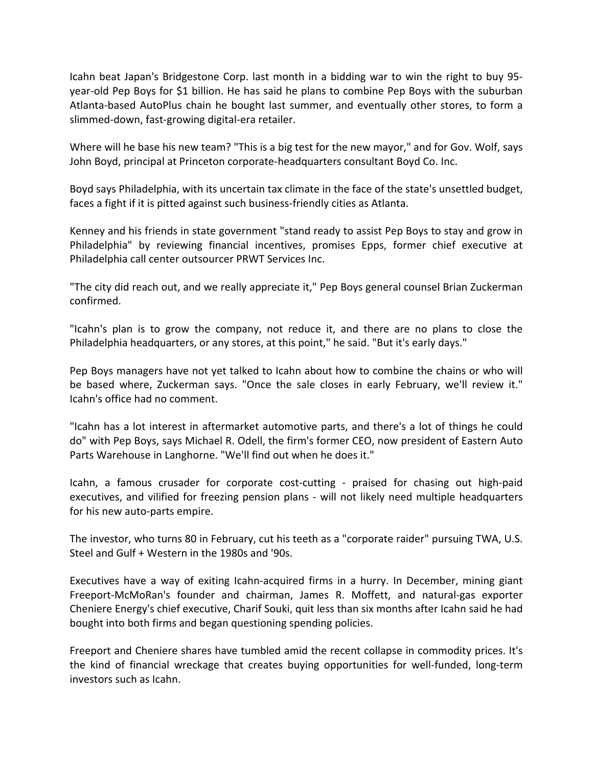Icahn beat Japan's Bridgestone Corp. last month in a bidding war to win the right to buy 95‐ year‐old Pep Boys for \$1 billion. He has said he plans to combine Pep Boys with the suburban Atlanta‐based AutoPlus chain he bought last summer, and eventually other stores, to form a slimmed‐down, fast‐growing digital‐era retailer.

Where will he base his new team? "This is a big test for the new mayor," and for Gov. Wolf, says John Boyd, principal at Princeton corporate‐headquarters consultant Boyd Co. Inc.

Boyd says Philadelphia, with its uncertain tax climate in the face of the state's unsettled budget, faces a fight if it is pitted against such business-friendly cities as Atlanta.

Kenney and his friends in state government "stand ready to assist Pep Boys to stay and grow in Philadelphia" by reviewing financial incentives, promises Epps, former chief executive at Philadelphia call center outsourcer PRWT Services Inc.

"The city did reach out, and we really appreciate it," Pep Boys general counsel Brian Zuckerman confirmed.

"Icahn's plan is to grow the company, not reduce it, and there are no plans to close the Philadelphia headquarters, or any stores, at this point," he said. "But it's early days."

Pep Boys managers have not yet talked to Icahn about how to combine the chains or who will be based where, Zuckerman says. "Once the sale closes in early February, we'll review it." Icahn's office had no comment.

"Icahn has a lot interest in aftermarket automotive parts, and there's a lot of things he could do" with Pep Boys, says Michael R. Odell, the firm's former CEO, now president of Eastern Auto Parts Warehouse in Langhorne. "We'll find out when he does it."

Icahn, a famous crusader for corporate cost-cutting - praised for chasing out high-paid executives, and vilified for freezing pension plans - will not likely need multiple headquarters for his new auto‐parts empire.

The investor, who turns 80 in February, cut his teeth as a "corporate raider" pursuing TWA, U.S. Steel and Gulf + Western in the 1980s and '90s.

Executives have a way of exiting Icahn‐acquired firms in a hurry. In December, mining giant Freeport‐McMoRan's founder and chairman, James R. Moffett, and natural‐gas exporter Cheniere Energy's chief executive, Charif Souki, quit less than six months after Icahn said he had bought into both firms and began questioning spending policies.

Freeport and Cheniere shares have tumbled amid the recent collapse in commodity prices. It's the kind of financial wreckage that creates buying opportunities for well-funded, long-term investors such as Icahn.